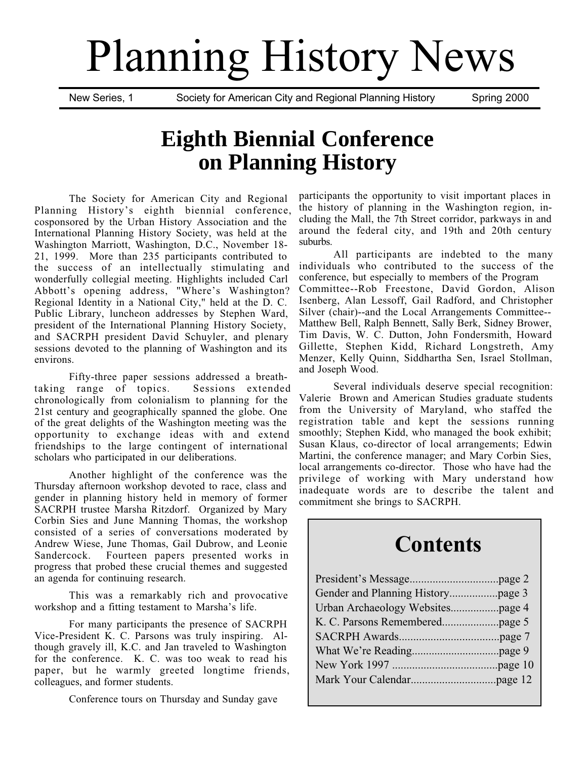# Planning History News

New Series, 1 Society for American City and Regional Planning History Spring 2000

## **Eighth Biennial Conference on Planning History**

The Society for American City and Regional Planning History's eighth biennial conference, cosponsored by the Urban History Association and the International Planning History Society, was held at the Washington Marriott, Washington, D.C., November 18- 21, 1999. More than 235 participants contributed to the success of an intellectually stimulating and wonderfully collegial meeting. Highlights included Carl Abbott's opening address, "Where's Washington? Regional Identity in a National City," held at the D. C. Public Library, luncheon addresses by Stephen Ward, president of the International Planning History Society, and SACRPH president David Schuyler, and plenary sessions devoted to the planning of Washington and its environs.

Fifty-three paper sessions addressed a breath-<br>range of topics. Sessions extended taking range of topics. chronologically from colonialism to planning for the 21st century and geographically spanned the globe. One of the great delights of the Washington meeting was the opportunity to exchange ideas with and extend friendships to the large contingent of international scholars who participated in our deliberations.

Another highlight of the conference was the Thursday afternoon workshop devoted to race, class and gender in planning history held in memory of former SACRPH trustee Marsha Ritzdorf. Organized by Mary Corbin Sies and June Manning Thomas, the workshop consisted of a series of conversations moderated by Andrew Wiese, June Thomas, Gail Dubrow, and Leonie Fourteen papers presented works in progress that probed these crucial themes and suggested an agenda for continuing research.

This was a remarkably rich and provocative workshop and a fitting testament to Marsha's life.

For many participants the presence of SACRPH Vice-President K. C. Parsons was truly inspiring. Although gravely ill, K.C. and Jan traveled to Washington for the conference. K. C. was too weak to read his paper, but he warmly greeted longtime friends, colleagues, and former students.

Conference tours on Thursday and Sunday gave

participants the opportunity to visit important places in the history of planning in the Washington region, including the Mall, the 7th Street corridor, parkways in and around the federal city, and 19th and 20th century suburbs.

All participants are indebted to the many individuals who contributed to the success of the conference, but especially to members of the Program Committee--Rob Freestone, David Gordon, Alison Isenberg, Alan Lessoff, Gail Radford, and Christopher Silver (chair)--and the Local Arrangements Committee-- Matthew Bell, Ralph Bennett, Sally Berk, Sidney Brower, Tim Davis, W. C. Dutton, John Fondersmith, Howard Gillette, Stephen Kidd, Richard Longstreth, Amy Menzer, Kelly Quinn, Siddhartha Sen, Israel Stollman, and Joseph Wood.

Several individuals deserve special recognition: Valerie Brown and American Studies graduate students from the University of Maryland, who staffed the registration table and kept the sessions running smoothly; Stephen Kidd, who managed the book exhibit; Susan Klaus, co-director of local arrangements; Edwin Martini, the conference manager; and Mary Corbin Sies, local arrangements co-director. Those who have had the privilege of working with Mary understand how inadequate words are to describe the talent and commitment she brings to SACRPH.

## **Contents**

| Urban Archaeology Websitespage 4 |  |
|----------------------------------|--|
|                                  |  |
|                                  |  |
|                                  |  |
|                                  |  |
|                                  |  |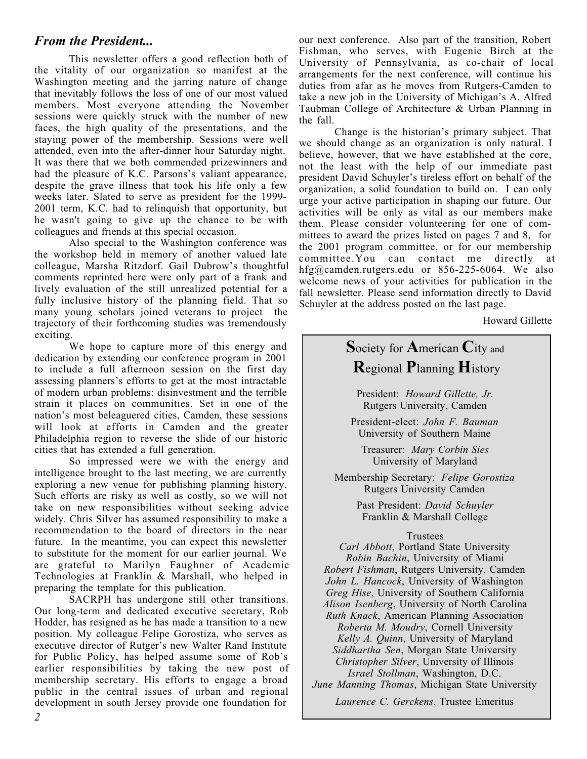#### *From the President...*

This newsletter offers a good reflection both of the vitality of our organization so manifest at the Washington meeting and the jarring nature of change that inevitably follows the loss of one of our most valued members. Most everyone attending the November sessions were quickly struck with the number of new faces, the high quality of the presentations, and the staying power of the membership. Sessions were well attended, even into the after-dinner hour Saturday night. It was there that we both commended prizewinners and had the pleasure of K.C. Parsons's valiant appearance, despite the grave illness that took his life only a few weeks later. Slated to serve as president for the 1999- 2001 term, K.C. had to relinquish that opportunity, but he wasn't going to give up the chance to be with colleagues and friends at this special occasion.

Also special to the Washington conference was the workshop held in memory of another valued late colleague, Marsha Ritzdorf. Gail Dubrow's thoughtful comments reprinted here were only part of a frank and lively evaluation of the still unrealized potential for a fully inclusive history of the planning field. That so many young scholars joined veterans to project the trajectory of their forthcoming studies was tremendously exciting.

We hope to capture more of this energy and dedication by extending our conference program in 2001 to include a full afternoon session on the first day assessing planners's efforts to get at the most intractable of modern urban problems: disinvestment and the terrible strain it places on communities. Set in one of the nation's most beleaguered cities, Camden, these sessions will look at efforts in Camden and the greater Philadelphia region to reverse the slide of our historic cities that has extended a full generation.

So impressed were we with the energy and intelligence brought to the last meeting, we are currently exploring a new venue for publishing planning history. Such efforts are risky as well as costly, so we will not take on new responsibilities without seeking advice widely. Chris Silver has assumed responsibility to make a recommendation to the board of directors in the near future. In the meantime, you can expect this newsletter to substitute for the moment for our earlier journal. We are grateful to Marilyn Faughner of Academic Technologies at Franklin & Marshall, who helped in preparing the template for this publication.

SACRPH has undergone still other transitions. Our long-term and dedicated executive secretary, Rob Hodder, has resigned as he has made a transition to a new position. My colleague Felipe Gorostiza, who serves as executive director of Rutger's new Walter Rand Institute for Public Policy, has helped assume some of Rob's earlier responsibilities by taking the new post of membership secretary. His efforts to engage a broad public in the central issues of urban and regional development in south Jersey provide one foundation for

our next conference. Also part of the transition, Robert Fishman, who serves, with Eugenie Birch at the University of Pennsylvania, as co-chair of local arrangements for the next conference, will continue his duties from afar as he moves from Rutgers-Camden to take a new job in the University of Michigan's A. Alfred Taubman College of Architecture & Urban Planning in the fall.

Change is the historian's primary subject. That we should change as an organization is only natural. I believe, however, that we have established at the core, not the least with the help of our immediate past president David Schuyler's tireless effort on behalf of the organization, a solid foundation to build on. I can only urge your active participation in shaping our future. Our activities will be only as vital as our members make them. Please consider volunteering for one of committees to award the prizes listed on pages 7 and 8, for the 2001 program committee, or for our membership committee.You can contact me directly at hfg@camden.rutgers.edu or 856-225-6064. We also welcome news of your activities for publication in the fall newsletter. Please send information directly to David Schuyler at the address posted on the last page.

Howard Gillette

### **S**ociety for **A**merican **C**ity and **R**egional **P**lanning **H**istory

President: *Howard Gillette, Jr.* Rutgers University, Camden

President-elect: *John F. Bauman* University of Southern Maine

Treasurer: *Mary Corbin Sies* University of Maryland

Membership Secretary: *Felipe Gorostiza* Rutgers University Camden

> Past President: *David Schuyler* Franklin & Marshall College

#### Trustees

*Carl Abbott*, Portland State University *Robin Bachin*, University of Miami *Robert Fishman*, Rutgers University, Camden *John L. Hancock*, University of Washington *Greg Hise*, University of Southern California *Alison Isenberg*, University of North Carolina *Ruth Knack*, American Planning Association *Roberta M. Moudry*, Cornell University *Kelly A. Quinn*, University of Maryland *Siddhartha Sen*, Morgan State University *Christopher Silver*, University of Illinois *Israel Stollman*, Washington, D.C. *June Manning Thomas*, Michigan State University

*Laurence C. Gerckens*, Trustee Emeritus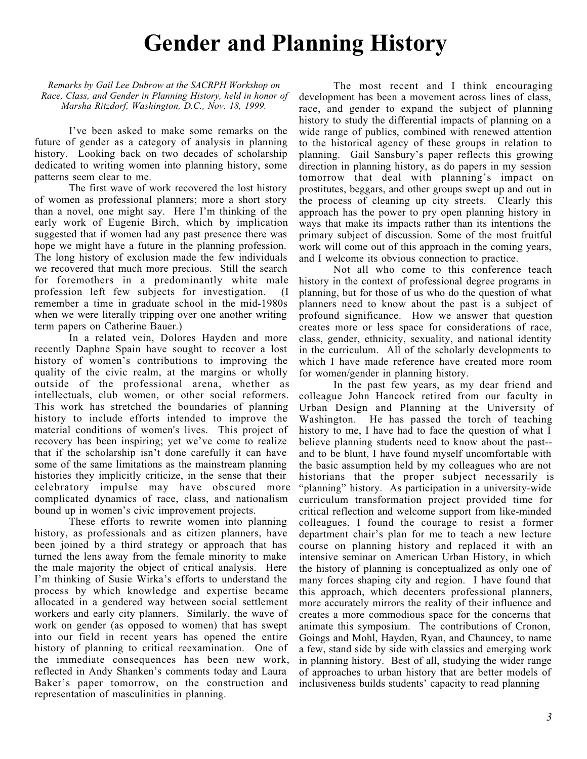# **Gender and Planning History**

*Remarks by Gail Lee Dubrow at the SACRPH Workshop on Race, Class, and Gender in Planning History, held in honor of Marsha Ritzdorf, Washington, D.C., Nov. 18, 1999.*

I've been asked to make some remarks on the future of gender as a category of analysis in planning history. Looking back on two decades of scholarship dedicated to writing women into planning history, some patterns seem clear to me.

The first wave of work recovered the lost history of women as professional planners; more a short story than a novel, one might say. Here I'm thinking of the early work of Eugenie Birch, which by implication suggested that if women had any past presence there was hope we might have a future in the planning profession. The long history of exclusion made the few individuals we recovered that much more precious. Still the search for foremothers in a predominantly white male profession left few subjects for investigation. (I remember a time in graduate school in the mid-1980s when we were literally tripping over one another writing term papers on Catherine Bauer.)

In a related vein, Dolores Hayden and more recently Daphne Spain have sought to recover a lost history of women's contributions to improving the quality of the civic realm, at the margins or wholly outside of the professional arena, whether as intellectuals, club women, or other social reformers. This work has stretched the boundaries of planning history to include efforts intended to improve the material conditions of women's lives. This project of recovery has been inspiring; yet we've come to realize that if the scholarship isn't done carefully it can have some of the same limitations as the mainstream planning histories they implicitly criticize, in the sense that their celebratory impulse may have obscured more complicated dynamics of race, class, and nationalism bound up in women's civic improvement projects.

These efforts to rewrite women into planning history, as professionals and as citizen planners, have been joined by a third strategy or approach that has turned the lens away from the female minority to make the male majority the object of critical analysis. Here I'm thinking of Susie Wirka's efforts to understand the process by which knowledge and expertise became allocated in a gendered way between social settlement workers and early city planners. Similarly, the wave of work on gender (as opposed to women) that has swept into our field in recent years has opened the entire history of planning to critical reexamination. One of the immediate consequences has been new work, reflected in Andy Shanken's comments today and Laura Baker's paper tomorrow, on the construction and representation of masculinities in planning.

The most recent and I think encouraging development has been a movement across lines of class, race, and gender to expand the subject of planning history to study the differential impacts of planning on a wide range of publics, combined with renewed attention to the historical agency of these groups in relation to planning. Gail Sansbury's paper reflects this growing direction in planning history, as do papers in my session tomorrow that deal with planning's impact on prostitutes, beggars, and other groups swept up and out in the process of cleaning up city streets. Clearly this approach has the power to pry open planning history in ways that make its impacts rather than its intentions the primary subject of discussion. Some of the most fruitful work will come out of this approach in the coming years, and I welcome its obvious connection to practice.

Not all who come to this conference teach history in the context of professional degree programs in planning, but for those of us who do the question of what planners need to know about the past is a subject of profound significance. How we answer that question creates more or less space for considerations of race, class, gender, ethnicity, sexuality, and national identity in the curriculum. All of the scholarly developments to which I have made reference have created more room for women/gender in planning history.

In the past few years, as my dear friend and colleague John Hancock retired from our faculty in Urban Design and Planning at the University of Washington. He has passed the torch of teaching history to me, I have had to face the question of what I believe planning students need to know about the past- and to be blunt, I have found myself uncomfortable with the basic assumption held by my colleagues who are not historians that the proper subject necessarily is "planning" history. As participation in a university-wide curriculum transformation project provided time for critical reflection and welcome support from like-minded colleagues, I found the courage to resist a former department chair's plan for me to teach a new lecture course on planning history and replaced it with an intensive seminar on American Urban History, in which the history of planning is conceptualized as only one of many forces shaping city and region. I have found that this approach, which decenters professional planners, more accurately mirrors the reality of their influence and creates a more commodious space for the concerns that animate this symposium. The contributions of Cronon, Goings and Mohl, Hayden, Ryan, and Chauncey, to name a few, stand side by side with classics and emerging work in planning history. Best of all, studying the wider range of approaches to urban history that are better models of inclusiveness builds students' capacity to read planning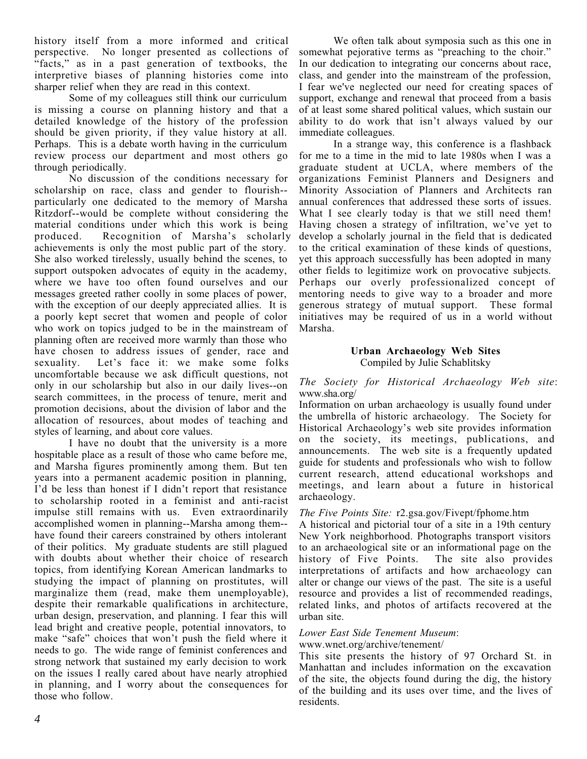history itself from a more informed and critical perspective. No longer presented as collections of "facts," as in a past generation of textbooks, the interpretive biases of planning histories come into sharper relief when they are read in this context.

Some of my colleagues still think our curriculum is missing a course on planning history and that a detailed knowledge of the history of the profession should be given priority, if they value history at all. Perhaps. This is a debate worth having in the curriculum review process our department and most others go through periodically.

No discussion of the conditions necessary for scholarship on race, class and gender to flourish- particularly one dedicated to the memory of Marsha Ritzdorf--would be complete without considering the material conditions under which this work is being<br>produced. Recognition of Marsha's scholarly Recognition of Marsha's scholarly achievements is only the most public part of the story. She also worked tirelessly, usually behind the scenes, to support outspoken advocates of equity in the academy, where we have too often found ourselves and our messages greeted rather coolly in some places of power, with the exception of our deeply appreciated allies. It is a poorly kept secret that women and people of color who work on topics judged to be in the mainstream of planning often are received more warmly than those who have chosen to address issues of gender, race and sexuality. Let's face it: we make some folks Let's face it: we make some folks uncomfortable because we ask difficult questions, not only in our scholarship but also in our daily lives--on search committees, in the process of tenure, merit and promotion decisions, about the division of labor and the allocation of resources, about modes of teaching and styles of learning, and about core values.

I have no doubt that the university is a more hospitable place as a result of those who came before me, and Marsha figures prominently among them. But ten years into a permanent academic position in planning, I'd be less than honest if I didn't report that resistance to scholarship rooted in a feminist and anti-racist impulse still remains with us. Even extraordinarily accomplished women in planning--Marsha among them- have found their careers constrained by others intolerant of their politics. My graduate students are still plagued with doubts about whether their choice of research topics, from identifying Korean American landmarks to studying the impact of planning on prostitutes, will marginalize them (read, make them unemployable), despite their remarkable qualifications in architecture, urban design, preservation, and planning. I fear this will lead bright and creative people, potential innovators, to make "safe" choices that won't push the field where it needs to go. The wide range of feminist conferences and strong network that sustained my early decision to work on the issues I really cared about have nearly atrophied in planning, and I worry about the consequences for those who follow.

We often talk about symposia such as this one in somewhat pejorative terms as "preaching to the choir." In our dedication to integrating our concerns about race, class, and gender into the mainstream of the profession, I fear we've neglected our need for creating spaces of support, exchange and renewal that proceed from a basis of at least some shared political values, which sustain our ability to do work that isn't always valued by our immediate colleagues.

In a strange way, this conference is a flashback for me to a time in the mid to late 1980s when I was a graduate student at UCLA, where members of the organizations Feminist Planners and Designers and Minority Association of Planners and Architects ran annual conferences that addressed these sorts of issues. What I see clearly today is that we still need them! Having chosen a strategy of infiltration, we've yet to develop a scholarly journal in the field that is dedicated to the critical examination of these kinds of questions, yet this approach successfully has been adopted in many other fields to legitimize work on provocative subjects. Perhaps our overly professionalized concept of mentoring needs to give way to a broader and more generous strategy of mutual support. These formal initiatives may be required of us in a world without Marsha.

#### **Urban Archaeology Web Sites** Compiled by Julie Schablitsky

#### *The Society for Historical Archaeology Web site*: www.sha.org/

Information on urban archaeology is usually found under the umbrella of historic archaeology. The Society for Historical Archaeology's web site provides information on the society, its meetings, publications, and announcements. The web site is a frequently updated guide for students and professionals who wish to follow current research, attend educational workshops and meetings, and learn about a future in historical archaeology.

#### *The Five Points Site:* r2.gsa.gov/Fivept/fphome.htm

A historical and pictorial tour of a site in a 19th century New York neighborhood. Photographs transport visitors to an archaeological site or an informational page on the history of Five Points. The site also provides interpretations of artifacts and how archaeology can alter or change our views of the past. The site is a useful resource and provides a list of recommended readings, related links, and photos of artifacts recovered at the urban site.

#### *Lower East Side Tenement Museum*:

#### www.wnet.org/archive/tenement/

This site presents the history of 97 Orchard St. in Manhattan and includes information on the excavation of the site, the objects found during the dig, the history of the building and its uses over time, and the lives of residents.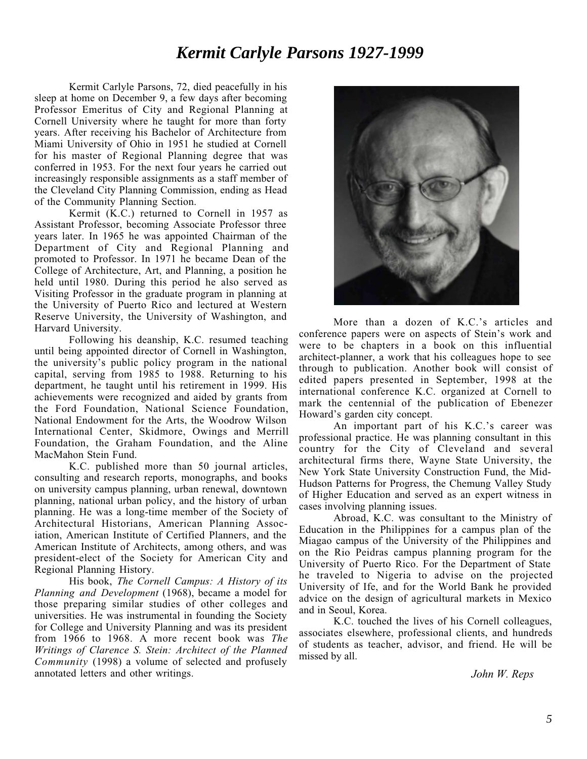## *Kermit Carlyle Parsons 1927-1999*

Kermit Carlyle Parsons, 72, died peacefully in his sleep at home on December 9, a few days after becoming Professor Emeritus of City and Regional Planning at Cornell University where he taught for more than forty years. After receiving his Bachelor of Architecture from Miami University of Ohio in 1951 he studied at Cornell for his master of Regional Planning degree that was conferred in 1953. For the next four years he carried out increasingly responsible assignments as a staff member of the Cleveland City Planning Commission, ending as Head of the Community Planning Section.

Kermit (K.C.) returned to Cornell in 1957 as Assistant Professor, becoming Associate Professor three years later. In 1965 he was appointed Chairman of the Department of City and Regional Planning and promoted to Professor. In 1971 he became Dean of the College of Architecture, Art, and Planning, a position he held until 1980. During this period he also served as Visiting Professor in the graduate program in planning at the University of Puerto Rico and lectured at Western Reserve University, the University of Washington, and Harvard University.

Following his deanship, K.C. resumed teaching until being appointed director of Cornell in Washington, the university's public policy program in the national capital, serving from 1985 to 1988. Returning to his department, he taught until his retirement in 1999. His achievements were recognized and aided by grants from the Ford Foundation, National Science Foundation, National Endowment for the Arts, the Woodrow Wilson International Center, Skidmore, Owings and Merrill Foundation, the Graham Foundation, and the Aline MacMahon Stein Fund.

K.C. published more than 50 journal articles, consulting and research reports, monographs, and books on university campus planning, urban renewal, downtown planning, national urban policy, and the history of urban planning. He was a long-time member of the Society of Architectural Historians, American Planning Association, American Institute of Certified Planners, and the American Institute of Architects, among others, and was president-elect of the Society for American City and Regional Planning History.

His book, *The Cornell Campus: A History of its Planning and Development* (1968), became a model for those preparing similar studies of other colleges and universities. He was instrumental in founding the Society for College and University Planning and was its president from 1966 to 1968. A more recent book was *The Writings of Clarence S. Stein: Architect of the Planned Community* (1998) a volume of selected and profusely annotated letters and other writings.



More than a dozen of K.C.'s articles and conference papers were on aspects of Stein's work and were to be chapters in a book on this influential architect-planner, a work that his colleagues hope to see through to publication. Another book will consist of edited papers presented in September, 1998 at the international conference K.C. organized at Cornell to mark the centennial of the publication of Ebenezer Howard's garden city concept.

An important part of his K.C.'s career was professional practice. He was planning consultant in this country for the City of Cleveland and several architectural firms there, Wayne State University, the New York State University Construction Fund, the Mid-Hudson Patterns for Progress, the Chemung Valley Study of Higher Education and served as an expert witness in cases involving planning issues.

Abroad, K.C. was consultant to the Ministry of Education in the Philippines for a campus plan of the Miagao campus of the University of the Philippines and on the Rio Peidras campus planning program for the University of Puerto Rico. For the Department of State he traveled to Nigeria to advise on the projected University of Ife, and for the World Bank he provided advice on the design of agricultural markets in Mexico and in Seoul, Korea.

K.C. touched the lives of his Cornell colleagues, associates elsewhere, professional clients, and hundreds of students as teacher, advisor, and friend. He will be missed by all.

*John W. Reps*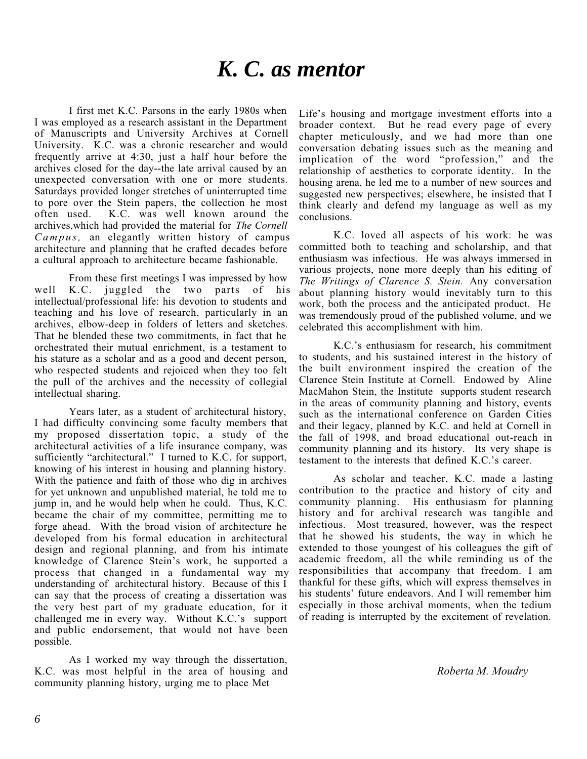# *K. C. as mentor*

I first met K.C. Parsons in the early 1980s when I was employed as a research assistant in the Department of Manuscripts and University Archives at Cornell University. K.C. was a chronic researcher and would frequently arrive at 4:30, just a half hour before the archives closed for the day--the late arrival caused by an unexpected conversation with one or more students. Saturdays provided longer stretches of uninterrupted time to pore over the Stein papers, the collection he most often used. K.C. was well known around the archives,which had provided the material for *The Cornell Campus,* an elegantly written history of campus architecture and planning that he crafted decades before a cultural approach to architecture became fashionable.

From these first meetings I was impressed by how well K.C. juggled the two parts of his intellectual/professional life: his devotion to students and teaching and his love of research, particularly in an archives, elbow-deep in folders of letters and sketches. That he blended these two commitments, in fact that he orchestrated their mutual enrichment, is a testament to his stature as a scholar and as a good and decent person, who respected students and rejoiced when they too felt the pull of the archives and the necessity of collegial intellectual sharing.

Years later, as a student of architectural history, I had difficulty convincing some faculty members that my proposed dissertation topic, a study of the architectural activities of a life insurance company, was sufficiently "architectural." I turned to K.C. for support, knowing of his interest in housing and planning history. With the patience and faith of those who dig in archives for yet unknown and unpublished material, he told me to jump in, and he would help when he could. Thus, K.C. became the chair of my committee, permitting me to forge ahead. With the broad vision of architecture he developed from his formal education in architectural design and regional planning, and from his intimate knowledge of Clarence Stein's work, he supported a process that changed in a fundamental way my understanding of architectural history. Because of this I can say that the process of creating a dissertation was the very best part of my graduate education, for it challenged me in every way. Without K.C.'s support and public endorsement, that would not have been possible.

As I worked my way through the dissertation, K.C. was most helpful in the area of housing and community planning history, urging me to place Met

Life's housing and mortgage investment efforts into a broader context. But he read every page of every chapter meticulously, and we had more than one conversation debating issues such as the meaning and implication of the word "profession," and the relationship of aesthetics to corporate identity. In the housing arena, he led me to a number of new sources and suggested new perspectives; elsewhere, he insisted that I think clearly and defend my language as well as my conclusions.

K.C. loved all aspects of his work: he was committed both to teaching and scholarship, and that enthusiasm was infectious. He was always immersed in various projects, none more deeply than his editing of *The Writings of Clarence S. Stein.* Any conversation about planning history would inevitably turn to this work, both the process and the anticipated product. He was tremendously proud of the published volume, and we celebrated this accomplishment with him.

K.C.'s enthusiasm for research, his commitment to students, and his sustained interest in the history of the built environment inspired the creation of the Clarence Stein Institute at Cornell. Endowed by Aline MacMahon Stein, the Institute supports student research in the areas of community planning and history, events such as the international conference on Garden Cities and their legacy, planned by K.C. and held at Cornell in the fall of 1998, and broad educational out-reach in community planning and its history. Its very shape is testament to the interests that defined K.C.'s career.

As scholar and teacher, K.C. made a lasting contribution to the practice and history of city and community planning. His enthusiasm for planning history and for archival research was tangible and infectious. Most treasured, however, was the respect that he showed his students, the way in which he extended to those youngest of his colleagues the gift of academic freedom, all the while reminding us of the responsibilities that accompany that freedom. I am thankful for these gifts, which will express themselves in his students' future endeavors. And I will remember him especially in those archival moments, when the tedium of reading is interrupted by the excitement of revelation.

*Roberta M. Moudry*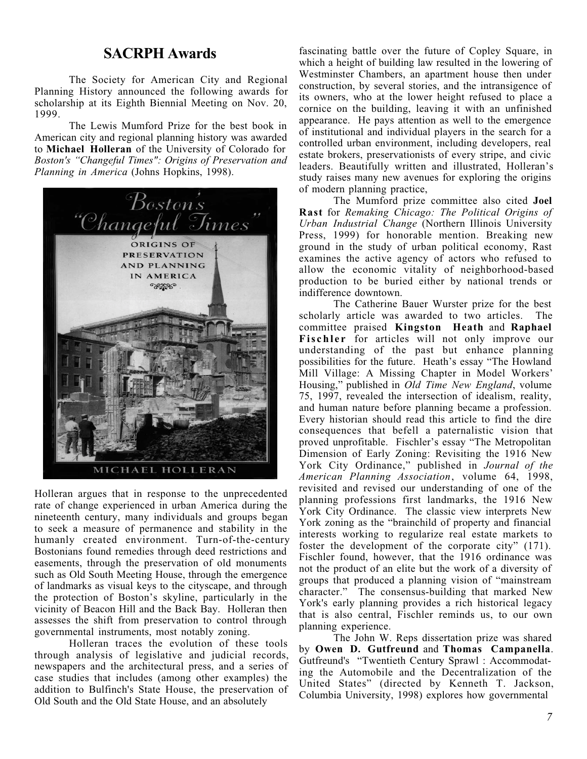#### **SACRPH Awards**

The Society for American City and Regional Planning History announced the following awards for scholarship at its Eighth Biennial Meeting on Nov. 20, 1999.

The Lewis Mumford Prize for the best book in American city and regional planning history was awarded to **Michael Holleran** of the University of Colorado for *Boston's "Changeful Times": Origins of Preservation and Planning in America* (Johns Hopkins, 1998).



Holleran argues that in response to the unprecedented rate of change experienced in urban America during the nineteenth century, many individuals and groups began to seek a measure of permanence and stability in the humanly created environment. Turn-of-the-century Bostonians found remedies through deed restrictions and easements, through the preservation of old monuments such as Old South Meeting House, through the emergence of landmarks as visual keys to the cityscape, and through the protection of Boston's skyline, particularly in the vicinity of Beacon Hill and the Back Bay. Holleran then assesses the shift from preservation to control through governmental instruments, most notably zoning.

Holleran traces the evolution of these tools through analysis of legislative and judicial records, newspapers and the architectural press, and a series of case studies that includes (among other examples) the addition to Bulfinch's State House, the preservation of Old South and the Old State House, and an absolutely

fascinating battle over the future of Copley Square, in which a height of building law resulted in the lowering of Westminster Chambers, an apartment house then under construction, by several stories, and the intransigence of its owners, who at the lower height refused to place a cornice on the building, leaving it with an unfinished appearance. He pays attention as well to the emergence of institutional and individual players in the search for a controlled urban environment, including developers, real estate brokers, preservationists of every stripe, and civic leaders. Beautifully written and illustrated, Holleran's study raises many new avenues for exploring the origins of modern planning practice,

The Mumford prize committee also cited **Joel Rast** for *Remaking Chicago: The Political Origins of Urban Industrial Change* (Northern Illinois University Press, 1999) for honorable mention. Breaking new ground in the study of urban political economy, Rast examines the active agency of actors who refused to allow the economic vitality of neighborhood-based production to be buried either by national trends or indifference downtown.

The Catherine Bauer Wurster prize for the best scholarly article was awarded to two articles. The committee praised **Kingston Heath** and **Raphael Fischler** for articles will not only improve our understanding of the past but enhance planning possibilities for the future. Heath's essay "The Howland Mill Village: A Missing Chapter in Model Workers' Housing," published in *Old Time New England*, volume 75, 1997, revealed the intersection of idealism, reality, and human nature before planning became a profession. Every historian should read this article to find the dire consequences that befell a paternalistic vision that proved unprofitable. Fischler's essay "The Metropolitan Dimension of Early Zoning: Revisiting the 1916 New York City Ordinance," published in *Journal of the American Planning Association*, volume 64, 1998, revisited and revised our understanding of one of the planning professions first landmarks, the 1916 New York City Ordinance. The classic view interprets New York zoning as the "brainchild of property and financial interests working to regularize real estate markets to foster the development of the corporate city" (171). Fischler found, however, that the 1916 ordinance was not the product of an elite but the work of a diversity of groups that produced a planning vision of "mainstream character." The consensus-building that marked New York's early planning provides a rich historical legacy that is also central, Fischler reminds us, to our own planning experience.

The John W. Reps dissertation prize was shared by **Owen D. Gutfreund** and **Thomas Campanella**. Gutfreund's "Twentieth Century Sprawl : Accommodating the Automobile and the Decentralization of the United States" (directed by Kenneth T. Jackson, Columbia University, 1998) explores how governmental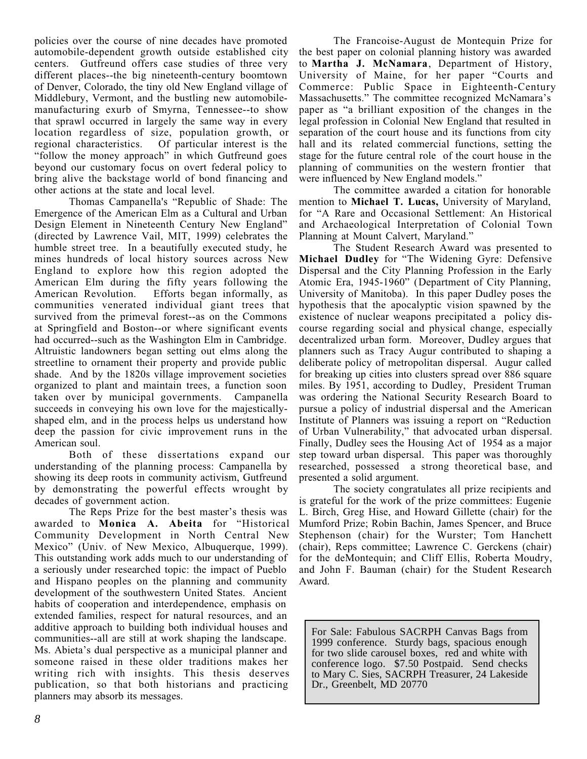policies over the course of nine decades have promoted automobile-dependent growth outside established city centers. Gutfreund offers case studies of three very different places--the big nineteenth-century boomtown of Denver, Colorado, the tiny old New England village of Middlebury, Vermont, and the bustling new automobilemanufacturing exurb of Smyrna, Tennessee--to show that sprawl occurred in largely the same way in every location regardless of size, population growth, or regional characteristics. Of particular interest is the Of particular interest is the "follow the money approach" in which Gutfreund goes beyond our customary focus on overt federal policy to bring alive the backstage world of bond financing and other actions at the state and local level.

Thomas Campanella's "Republic of Shade: The Emergence of the American Elm as a Cultural and Urban Design Element in Nineteenth Century New England" (directed by Lawrence Vail, MIT, 1999) celebrates the humble street tree. In a beautifully executed study, he mines hundreds of local history sources across New England to explore how this region adopted the American Elm during the fifty years following the<br>American Revolution. Efforts began informally, as Efforts began informally, as communities venerated individual giant trees that survived from the primeval forest--as on the Commons at Springfield and Boston--or where significant events had occurred--such as the Washington Elm in Cambridge. Altruistic landowners began setting out elms along the streetline to ornament their property and provide public shade. And by the 1820s village improvement societies organized to plant and maintain trees, a function soon taken over by municipal governments. Campanella succeeds in conveying his own love for the majesticallyshaped elm, and in the process helps us understand how deep the passion for civic improvement runs in the American soul.

Both of these dissertations expand our understanding of the planning process: Campanella by showing its deep roots in community activism, Gutfreund by demonstrating the powerful effects wrought by decades of government action.

The Reps Prize for the best master's thesis was awarded to **Monica A. Abeita** for "Historical Community Development in North Central New Mexico" (Univ. of New Mexico, Albuquerque, 1999). This outstanding work adds much to our understanding of a seriously under researched topic: the impact of Pueblo and Hispano peoples on the planning and community development of the southwestern United States. Ancient habits of cooperation and interdependence, emphasis on extended families, respect for natural resources, and an additive approach to building both individual houses and communities--all are still at work shaping the landscape. Ms. Abieta's dual perspective as a municipal planner and someone raised in these older traditions makes her writing rich with insights. This thesis deserves publication, so that both historians and practicing planners may absorb its messages.

The Francoise-August de Montequin Prize for the best paper on colonial planning history was awarded to **Martha J. McNamara**, Department of History, University of Maine, for her paper "Courts and Commerce: Public Space in Eighteenth-Century Massachusetts." The committee recognized McNamara's paper as "a brilliant exposition of the changes in the legal profession in Colonial New England that resulted in separation of the court house and its functions from city hall and its related commercial functions, setting the stage for the future central role of the court house in the planning of communities on the western frontier that were influenced by New England models."

The committee awarded a citation for honorable mention to **Michael T. Lucas,** University of Maryland, for "A Rare and Occasional Settlement: An Historical and Archaeological Interpretation of Colonial Town Planning at Mount Calvert, Maryland."

The Student Research Award was presented to **Michael Dudley** for "The Widening Gyre: Defensive Dispersal and the City Planning Profession in the Early Atomic Era, 1945-1960" (Department of City Planning, University of Manitoba). In this paper Dudley poses the hypothesis that the apocalyptic vision spawned by the existence of nuclear weapons precipitated a policy discourse regarding social and physical change, especially decentralized urban form. Moreover, Dudley argues that planners such as Tracy Augur contributed to shaping a deliberate policy of metropolitan dispersal. Augur called for breaking up cities into clusters spread over 886 square miles. By 1951, according to Dudley, President Truman was ordering the National Security Research Board to pursue a policy of industrial dispersal and the American Institute of Planners was issuing a report on "Reduction of Urban Vulnerability," that advocated urban dispersal. Finally, Dudley sees the Housing Act of 1954 as a major step toward urban dispersal. This paper was thoroughly researched, possessed a strong theoretical base, and presented a solid argument.

The society congratulates all prize recipients and is grateful for the work of the prize committees: Eugenie L. Birch, Greg Hise, and Howard Gillette (chair) for the Mumford Prize; Robin Bachin, James Spencer, and Bruce Stephenson (chair) for the Wurster; Tom Hanchett (chair), Reps committee; Lawrence C. Gerckens (chair) for the deMontequin; and Cliff Ellis, Roberta Moudry, and John F. Bauman (chair) for the Student Research Award.

For Sale: Fabulous SACRPH Canvas Bags from 1999 conference. Sturdy bags, spacious enough for two slide carousel boxes, red and white with conference logo. \$7.50 Postpaid. Send checks to Mary C. Sies, SACRPH Treasurer, 24 Lakeside Dr., Greenbelt, MD 20770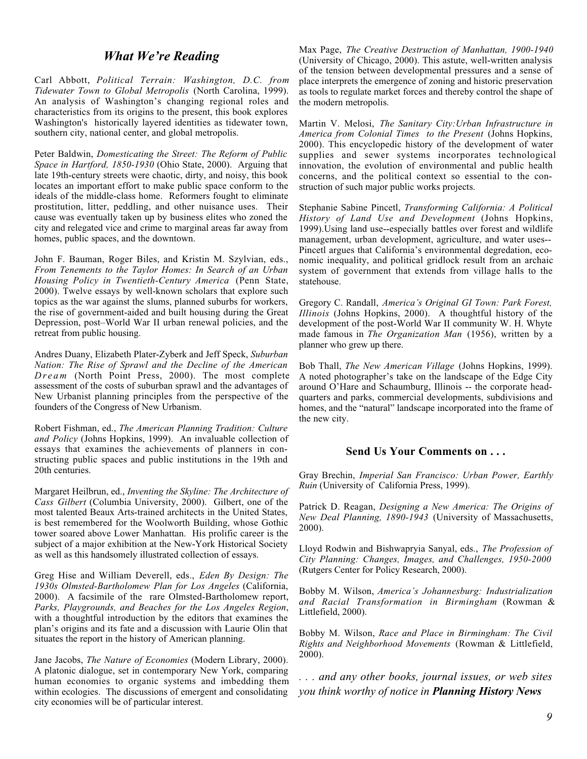#### *What We're Reading*

Carl Abbott, *Political Terrain: Washington, D.C. from Tidewater Town to Global Metropolis* (North Carolina, 1999). An analysis of Washington's changing regional roles and characteristics from its origins to the present, this book explores Washington's historically layered identities as tidewater town, southern city, national center, and global metropolis.

Peter Baldwin, *Domesticating the Street: The Reform of Public Space in Hartford, 1850-1930* (Ohio State, 2000). Arguing that late 19th-century streets were chaotic, dirty, and noisy, this book locates an important effort to make public space conform to the ideals of the middle-class home. Reformers fought to eliminate prostitution, litter, peddling, and other nuisance uses. Their cause was eventually taken up by business elites who zoned the city and relegated vice and crime to marginal areas far away from homes, public spaces, and the downtown.

John F. Bauman, Roger Biles, and Kristin M. Szylvian, eds., *From Tenements to the Taylor Homes: In Search of an Urban Housing Policy in Twentieth-Century America* (Penn State, 2000). Twelve essays by well-known scholars that explore such topics as the war against the slums, planned suburbs for workers, the rise of government-aided and built housing during the Great Depression, post–World War II urban renewal policies, and the retreat from public housing.

Andres Duany, Elizabeth Plater-Zyberk and Jeff Speck, *Suburban Nation: The Rise of Sprawl and the Decline of the American Dream* (North Point Press, 2000). The most complete assessment of the costs of suburban sprawl and the advantages of New Urbanist planning principles from the perspective of the founders of the Congress of New Urbanism.

Robert Fishman, ed., *The American Planning Tradition: Culture and Policy* (Johns Hopkins, 1999). An invaluable collection of essays that examines the achievements of planners in constructing public spaces and public institutions in the 19th and 20th centuries.

Margaret Heilbrun, ed., *Inventing the Skyline: The Architecture of Cass Gilbert* (Columbia University, 2000). Gilbert, one of the most talented Beaux Arts-trained architects in the United States, is best remembered for the Woolworth Building, whose Gothic tower soared above Lower Manhattan. His prolific career is the subject of a major exhibition at the New-York Historical Society as well as this handsomely illustrated collection of essays.

Greg Hise and William Deverell, eds., *Eden By Design: The 1930s Olmsted-Bartholomew Plan for Los Angeles* (California, 2000). A facsimile of the rare Olmsted-Bartholomew report, *Parks, Playgrounds, and Beaches for the Los Angeles Region*, with a thoughtful introduction by the editors that examines the plan's origins and its fate and a discussion with Laurie Olin that situates the report in the history of American planning.

Jane Jacobs, *The Nature of Economies* (Modern Library, 2000). A platonic dialogue, set in contemporary New York, comparing human economies to organic systems and imbedding them within ecologies. The discussions of emergent and consolidating city economies will be of particular interest.

Max Page, *The Creative Destruction of Manhattan, 1900-1940* (University of Chicago, 2000). This astute, well-written analysis of the tension between developmental pressures and a sense of place interprets the emergence of zoning and historic preservation as tools to regulate market forces and thereby control the shape of the modern metropolis.

Martin V. Melosi, *The Sanitary City:Urban Infrastructure in America from Colonial Times to the Present* (Johns Hopkins, 2000). This encyclopedic history of the development of water supplies and sewer systems incorporates technological innovation, the evolution of environmental and public health concerns, and the political context so essential to the construction of such major public works projects.

Stephanie Sabine Pincetl, *Transforming California: A Political History of Land Use and Development* (Johns Hopkins, 1999).Using land use--especially battles over forest and wildlife management, urban development, agriculture, and water uses-- Pincetl argues that California's environmental degredation, economic inequality, and political gridlock result from an archaic system of government that extends from village halls to the statehouse.

Gregory C. Randall, *America's Original GI Town: Park Forest, Illinois* (Johns Hopkins, 2000). A thoughtful history of the development of the post-World War II community W. H. Whyte made famous in *The Organization Man* (1956), written by a planner who grew up there.

Bob Thall, *The New American Village* (Johns Hopkins, 1999). A noted photographer's take on the landscape of the Edge City around O'Hare and Schaumburg, Illinois -- the corporate headquarters and parks, commercial developments, subdivisions and homes, and the "natural" landscape incorporated into the frame of the new city.

#### **Send Us Your Comments on . . .**

Gray Brechin, *Imperial San Francisco: Urban Power, Earthly Ruin* (University of California Press, 1999).

Patrick D. Reagan, *Designing a New America: The Origins of New Deal Planning, 1890-1943* (University of Massachusetts, 2000).

Lloyd Rodwin and Bishwapryia Sanyal, eds., *The Profession of City Planning: Changes, Images, and Challenges, 1950-2000* (Rutgers Center for Policy Research, 2000).

Bobby M. Wilson, *America's Johannesburg: Industrialization and Racial Transformation in Birmingham* (Rowman & Littlefield, 2000).

Bobby M. Wilson, *Race and Place in Birmingham: The Civil Rights and Neighborhood Movements* (Rowman & Littlefield, 2000).

*. . . and any other books, journal issues, or web sites you think worthy of notice in Planning History News*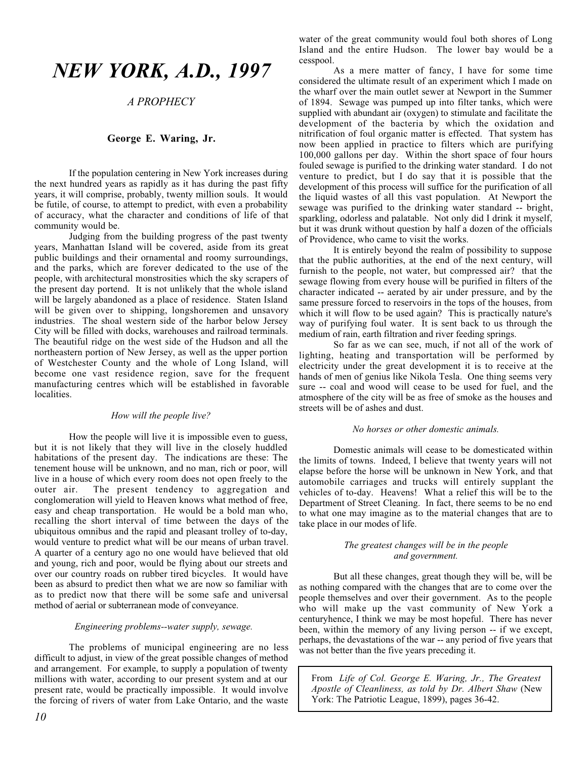## *NEW YORK, A.D., 1997*

#### *A PROPHECY*

#### **George E. Waring, Jr.**

If the population centering in New York increases during the next hundred years as rapidly as it has during the past fifty years, it will comprise, probably, twenty million souls. It would be futile, of course, to attempt to predict, with even a probability of accuracy, what the character and conditions of life of that community would be.

Judging from the building progress of the past twenty years, Manhattan Island will be covered, aside from its great public buildings and their ornamental and roomy surroundings, and the parks, which are forever dedicated to the use of the people, with architectural monstrosities which the sky scrapers of the present day portend. It is not unlikely that the whole island will be largely abandoned as a place of residence. Staten Island will be given over to shipping, longshoremen and unsavory industries. The shoal western side of the harbor below Jersey City will be filled with docks, warehouses and railroad terminals. The beautiful ridge on the west side of the Hudson and all the northeastern portion of New Jersey, as well as the upper portion of Westchester County and the whole of Long Island, will become one vast residence region, save for the frequent manufacturing centres which will be established in favorable localities.

#### *How will the people live?*

How the people will live it is impossible even to guess, but it is not likely that they will live in the closely huddled habitations of the present day. The indications are these: The tenement house will be unknown, and no man, rich or poor, will live in a house of which every room does not open freely to the outer air. The present tendency to aggregation and conglomeration will yield to Heaven knows what method of free, easy and cheap transportation. He would be a bold man who, recalling the short interval of time between the days of the ubiquitous omnibus and the rapid and pleasant trolley of to-day, would venture to predict what will be our means of urban travel. A quarter of a century ago no one would have believed that old and young, rich and poor, would be flying about our streets and over our country roads on rubber tired bicycles. It would have been as absurd to predict then what we are now so familiar with as to predict now that there will be some safe and universal method of aerial or subterranean mode of conveyance.

#### *Engineering problems--water supply, sewage.*

The problems of municipal engineering are no less difficult to adjust, in view of the great possible changes of method and arrangement. For example, to supply a population of twenty millions with water, according to our present system and at our present rate, would be practically impossible. It would involve the forcing of rivers of water from Lake Ontario, and the waste water of the great community would foul both shores of Long Island and the entire Hudson. The lower bay would be a cesspool.

As a mere matter of fancy, I have for some time considered the ultimate result of an experiment which I made on the wharf over the main outlet sewer at Newport in the Summer of 1894. Sewage was pumped up into filter tanks, which were supplied with abundant air (oxygen) to stimulate and facilitate the development of the bacteria by which the oxidation and nitrification of foul organic matter is effected. That system has now been applied in practice to filters which are purifying 100,000 gallons per day. Within the short space of four hours fouled sewage is purified to the drinking water standard. I do not venture to predict, but I do say that it is possible that the development of this process will suffice for the purification of all the liquid wastes of all this vast population. At Newport the sewage was purified to the drinking water standard -- bright, sparkling, odorless and palatable. Not only did I drink it myself, but it was drunk without question by half a dozen of the officials of Providence, who came to visit the works.

It is entirely beyond the realm of possibility to suppose that the public authorities, at the end of the next century, will furnish to the people, not water, but compressed air? that the sewage flowing from every house will be purified in filters of the character indicated -- aerated by air under pressure, and by the same pressure forced to reservoirs in the tops of the houses, from which it will flow to be used again? This is practically nature's way of purifying foul water. It is sent back to us through the medium of rain, earth filtration and river feeding springs.

So far as we can see, much, if not all of the work of lighting, heating and transportation will be performed by electricity under the great development it is to receive at the hands of men of genius like Nikola Tesla. One thing seems very sure -- coal and wood will cease to be used for fuel, and the atmosphere of the city will be as free of smoke as the houses and streets will be of ashes and dust.

#### *No horses or other domestic animals.*

Domestic animals will cease to be domesticated within the limits of towns. Indeed, I believe that twenty years will not elapse before the horse will be unknown in New York, and that automobile carriages and trucks will entirely supplant the vehicles of to-day. Heavens! What a relief this will be to the Department of Street Cleaning. In fact, there seems to be no end to what one may imagine as to the material changes that are to take place in our modes of life.

#### *The greatest changes will be in the people and government.*

But all these changes, great though they will be, will be as nothing compared with the changes that are to come over the people themselves and over their government. As to the people who will make up the vast community of New York a centuryhence, I think we may be most hopeful. There has never been, within the memory of any living person -- if we except, perhaps, the devastations of the war -- any period of five years that was not better than the five years preceding it.

From *Life of Col. George E. Waring, Jr., The Greatest Apostle of Cleanliness, as told by Dr. Albert Shaw* (New York: The Patriotic League, 1899), pages 36-42.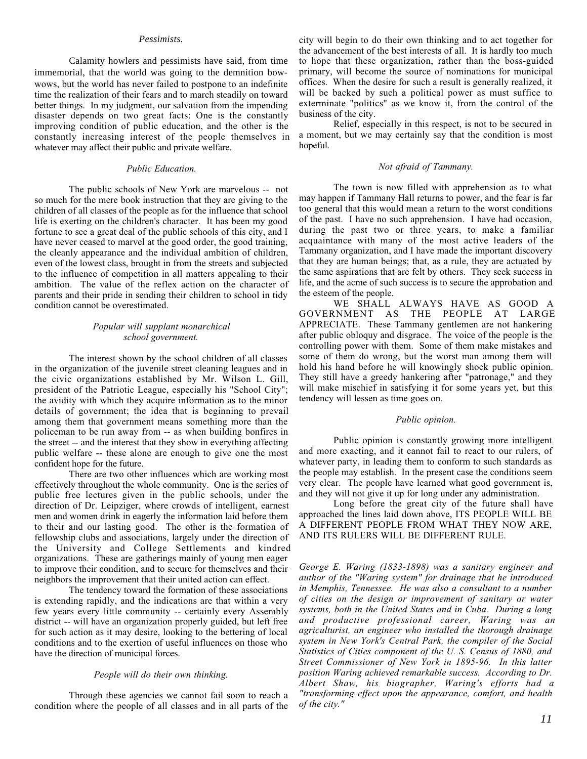#### *Pessimists.*

Calamity howlers and pessimists have said, from time immemorial, that the world was going to the demnition bowwows, but the world has never failed to postpone to an indefinite time the realization of their fears and to march steadily on toward better things. In my judgment, our salvation from the impending disaster depends on two great facts: One is the constantly improving condition of public education, and the other is the constantly increasing interest of the people themselves in whatever may affect their public and private welfare.

#### *Public Education.*

The public schools of New York are marvelous -- not so much for the mere book instruction that they are giving to the children of all classes of the people as for the influence that school life is exerting on the children's character. It has been my good fortune to see a great deal of the public schools of this city, and I have never ceased to marvel at the good order, the good training, the cleanly appearance and the individual ambition of children, even of the lowest class, brought in from the streets and subjected to the influence of competition in all matters appealing to their ambition. The value of the reflex action on the character of parents and their pride in sending their children to school in tidy condition cannot be overestimated.

#### *Popular will supplant monarchical school government.*

The interest shown by the school children of all classes in the organization of the juvenile street cleaning leagues and in the civic organizations established by Mr. Wilson L. Gill, president of the Patriotic League, especially his "School City"; the avidity with which they acquire information as to the minor details of government; the idea that is beginning to prevail among them that government means something more than the policeman to be run away from -- as when building bonfires in the street -- and the interest that they show in everything affecting public welfare -- these alone are enough to give one the most confident hope for the future.

There are two other influences which are working most effectively throughout the whole community. One is the series of public free lectures given in the public schools, under the direction of Dr. Leipziger, where crowds of intelligent, earnest men and women drink in eagerly the information laid before them to their and our lasting good. The other is the formation of fellowship clubs and associations, largely under the direction of the University and College Settlements and kindred organizations. These are gatherings mainly of young men eager to improve their condition, and to secure for themselves and their neighbors the improvement that their united action can effect.

The tendency toward the formation of these associations is extending rapidly, and the indications are that within a very few years every little community -- certainly every Assembly district -- will have an organization properly guided, but left free for such action as it may desire, looking to the bettering of local conditions and to the exertion of useful influences on those who have the direction of municipal forces.

#### *People will do their own thinking.*

Through these agencies we cannot fail soon to reach a condition where the people of all classes and in all parts of the city will begin to do their own thinking and to act together for the advancement of the best interests of all. It is hardly too much to hope that these organization, rather than the boss-guided primary, will become the source of nominations for municipal offices. When the desire for such a result is generally realized, it will be backed by such a political power as must suffice to exterminate "politics" as we know it, from the control of the business of the city.

Relief, especially in this respect, is not to be secured in a moment, but we may certainly say that the condition is most hopeful.

#### *Not afraid of Tammany.*

The town is now filled with apprehension as to what may happen if Tammany Hall returns to power, and the fear is far too general that this would mean a return to the worst conditions of the past. I have no such apprehension. I have had occasion, during the past two or three years, to make a familiar acquaintance with many of the most active leaders of the Tammany organization, and I have made the important discovery that they are human beings; that, as a rule, they are actuated by the same aspirations that are felt by others. They seek success in life, and the acme of such success is to secure the approbation and the esteem of the people.

WE SHALL ALWAYS HAVE AS GOOD A GOVERNMENT AS THE PEOPLE AT LARGE APPRECIATE. These Tammany gentlemen are not hankering after public obloquy and disgrace. The voice of the people is the controlling power with them. Some of them make mistakes and some of them do wrong, but the worst man among them will hold his hand before he will knowingly shock public opinion. They still have a greedy hankering after "patronage," and they will make mischief in satisfying it for some years yet, but this tendency will lessen as time goes on.

#### *Public opinion.*

Public opinion is constantly growing more intelligent and more exacting, and it cannot fail to react to our rulers, of whatever party, in leading them to conform to such standards as the people may establish. In the present case the conditions seem very clear. The people have learned what good government is, and they will not give it up for long under any administration.

Long before the great city of the future shall have approached the lines laid down above, ITS PEOPLE WILL BE A DIFFERENT PEOPLE FROM WHAT THEY NOW ARE, AND ITS RULERS WILL BE DIFFERENT RULE.

*George E. Waring (1833-1898) was a sanitary engineer and author of the "Waring system" for drainage that he introduced in Memphis, Tennessee. He was also a consultant to a number of cities on the design or improvement of sanitary or water systems, both in the United States and in Cuba. During a long and productive professional career, Waring was an agriculturist, an engineer who installed the thorough drainage system in New York's Central Park, the compiler of the Social Statistics of Cities component of the U. S. Census of 1880, and Street Commissioner of New York in 1895-96. In this latter position Waring achieved remarkable success. According to Dr. Albert Shaw, his biographer, Waring's efforts had a "transforming effect upon the appearance, comfort, and health of the city."*